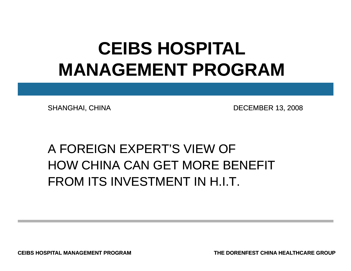## **CEIBS HOSPITAL MANAGEMENT PROGRAM**

SHANGHAI, CHINA DECEMBER 13, 2008

### A FOREIGN EXPERT'S VIEW OF HOW CHINA CAN GET MORE BENEFITFROM ITS INVESTMENT IN H.I.T.

**CEIBS HOSPITAL MANAGEMENT PROGRAM**

**THE DORENFEST CHINA HEALTHCARE GROUP**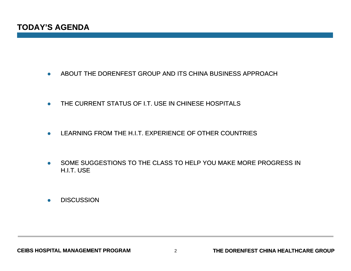- $\bullet$ ABOUT THE DORENFEST GROUP AND ITS CHINA BUSINESS APPROACH
- $\bullet$ THE CURRENT STATUS OF I.T. USE IN CHINESE HOSPITALS
- $\bullet$ LEARNING FROM THE H.I.T. EXPERIENCE OF OTHER COUNTRIES
- $\bullet$  SOME SUGGESTIONS TO THE CLASS TO HELP YOU MAKE MORE PROGRESS IN H.I.T. USE
- $\bullet$ **DISCUSSION**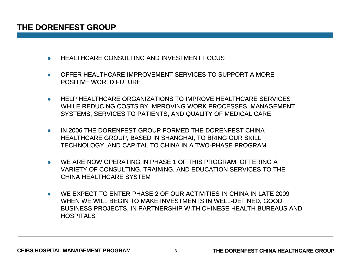- $\bullet$ HEALTHCARE CONSULTING AND INVESTMENT FOCUS
- $\bullet$  OFFER HEALTHCARE IMPROVEMENT SERVICES TO SUPPORT A MORE POSITIVE WORLD FUTURE
- $\bullet$  HELP HEALTHCARE ORGANIZATIONS TO IMPROVE HEALTHCARE SERVICES WHILE REDUCING COSTS BY IMPROVING WORK PROCESSES, MANAGEMENT SYSTEMS, SERVICES TO PATIENTS, AND QUALITY OF MEDICAL CARE
- 0 IN 2006 THE DORENFEST GROUP FORMED THE DORENFEST CHINA HEALTHCARE GROUP, BASED IN SHANGHAI, TO BRING OUR SKILL, TECHNOLOGY, AND CAPITAL TO CHINA IN A TWO-PHASE PROGRAM
- 0 WE ARE NOW OPERATING IN PHASE 1 OF THIS PROGRAM, OFFERING A VARIETY OF CONSULTING, TRAINING, AND EDUCATION SERVICES TO THE CHINA HEALTHCARE SYSTEM
- WE EXPECT TO ENTER PHASE 2 OF OUR ACTIVITIES IN CHINA IN LATE 2009 WHEN WE WILL BEGIN TO MAKE INVESTMENTS IN WELL-DEFINED, GOOD BUSINESS PROJECTS, IN PARTNERSHIP WITH CHINESE HEALTH BUREAUS AND **HOSPITALS**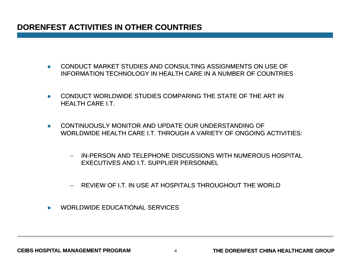### **DORENFEST ACTIVITIES IN OTHER COUNTRIES**

- $\bullet$  CONDUCT MARKET STUDIES AND CONSULTING ASSIGNMENTS ON USE OF INFORMATION TECHNOLOGY IN HEALTH CARE IN A NUMBER OF COUNTRIES
- $\bullet$  CONDUCT WORLDWIDE STUDIES COMPARING THE STATE OF THE ART IN HEALTH CARE I.T.
- $\bullet$  CONTINUOUSLY MONITOR AND UPDATE OUR UNDERSTANDING OF WORLDWIDE HEALTH CARE I.T. THROUGH A VARIETY OF ONGOING ACTIVITIES:
	- IN-PERSON AND TELEPHONE DISCUSSIONS WITH NUMEROUS HOSPITAL EXECUTIVES AND I.T. SUPPLIER PERSONNEL
	- REVIEW OF I.T. IN USE AT HOSPITALS THROUGHOUT THE WORLD
- $\bullet$ WORLDWIDE EDUCATIONAL SERVICES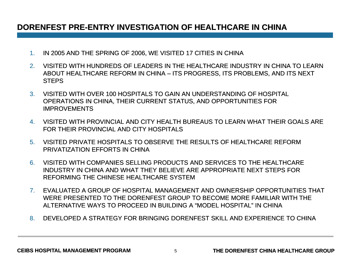### DORENFEST PRE-ENTRY INVESTIGATION OF HEALTHCARE IN CHINA

- 1.IN 2005 AND THE SPRING OF 2006, WE VISITED 17 CITIES IN CHINA
- 2. VISITED WITH HUNDREDS OF LEADERS IN THE HEALTHCARE INDUSTRY IN CHINA TO LEARN ABOUT HEALTHCARE REFORM IN CHINA – ITS PROGRESS, ITS PROBLEMS, AND ITS NEXT **STEPS**
- 3. VISITED WITH OVER 100 HOSPITALS TO GAIN AN UNDERSTANDING OF HOSPITAL OPERATIONS IN CHINA, THEIR CURRENT STATUS, AND OPPORTUNITIES FOR IMPROVEMENTS
- 4. VISITED WITH PROVINCIAL AND CITY HEALTH BUREAUS TO LEARN WHAT THEIR GOALS ARE FOR THEIR PROVINCIAL AND CITY HOSPITALS
- 5. VISITED PRIVATE HOSPITALS TO OBSERVE THE RESULTS OF HEALTHCARE REFORM PRIVATIZATION EFFORTS IN CHINA
- 6. VISITED WITH COMPANIES SELLING PRODUCTS AND SERVICES TO THE HEALTHCARE INDUSTRY IN CHINA AND WHAT THEY BELIEVE ARE APPROPRIATE NEXT STEPS FOR REFORMING THE CHINESE HEALTHCARE SYSTEM
- 7. EVALUATED A GROUP OF HOSPITAL MANAGEMENT AND OWNERSHIP OPPORTUNITIES THAT WERE PRESENTED TO THE DORENFEST GROUP TO BECOME MORE FAMILIAR WITH THE ALTERNATIVE WAYS TO PROCEED IN BUILDING A "MODEL HOSPITAL" IN CHINA
- 8. DEVELOPED A STRATEGY FOR BRINGING DORENFEST SKILL AND EXPERIENCE TO CHINA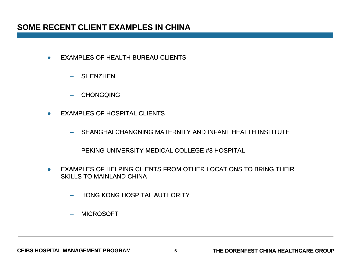- $\bullet$  EXAMPLES OF HEALTH BUREAU CLIENTS
	- SHENZHEN
	- CHONGQING
- $\bullet$  EXAMPLES OF HOSPITAL CLIENTS
	- SHANGHAI CHANGNING MATERNITY AND INFANT HEALTH INSTITUTE
	- PEKING UNIVERSITY MEDICAL COLLEGE #3 HOSPITAL
- $\bullet$  EXAMPLES OF HELPING CLIENTS FROM OTHER LOCATIONS TO BRING THEIR SKILLS TO MAINLAND CHINA
	- HONG KONG HOSPITAL AUTHORITY
	- MICROSOFT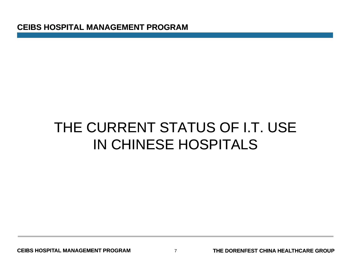**CEIBS HOSPITAL MANAGEMENT PROGRAM**

### THE CURRENT STATUS OF I.T. USE IN CHINESE HOSPITALS

**CEIBS HOSPITAL MANAGEMENT PROGRAM**

7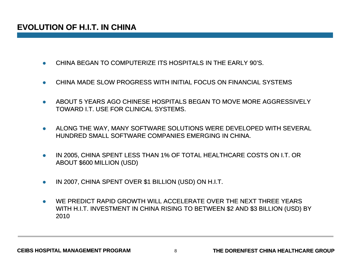- $\bullet$ CHINA BEGAN TO COMPUTERIZE ITS HOSPITALS IN THE EARLY 90'S.
- $\bullet$ CHINA MADE SLOW PROGRESS WITH INITIAL FOCUS ON FINANCIAL SYSTEMS
- 0 ABOUT 5 YEARS AGO CHINESE HOSPITALS BEGAN TO MOVE MORE AGGRESSIVELY TOWARD I.T. USE FOR CLINICAL SYSTEMS.
- $\bullet$  ALONG THE WAY, MANY SOFTWARE SOLUTIONS WERE DEVELOPED WITH SEVERAL HUNDRED SMALL SOFTWARE COMPANIES EMERGING IN CHINA.
- $\bullet$  IN 2005, CHINA SPENT LESS THAN 1% OF TOTAL HEALTHCARE COSTS ON I.T. OR ABOUT \$600 MILLION (USD)
- $\bullet$ IN 2007, CHINA SPENT OVER \$1 BILLION (USD) ON H.I.T.
- $\bullet$  WE PREDICT RAPID GROWTH WILL ACCELERATE OVER THE NEXT THREE YEARS WITH H.I.T. INVESTMENT IN CHINA RISING TO BETWEEN \$2 AND \$3 BILLION (USD) BY 2010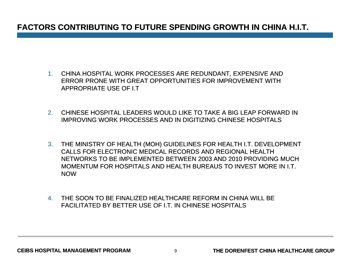### **FACTORS CONTRIBUTING TO FUTURE SPENDING GROWTH IN CHINA H.I.T.**

- 1. CHINA HOSPITAL WORK PROCESSES ARE REDUNDANT, EXPENSIVE AND ERROR PRONE WITH GREAT OPPORTUNITIES FOR IMPROVEMENT WITH APPROPRIATE USE OF I.T
- 2. CHINESE HOSPITAL LEADERS WOULD LIKE TO TAKE A BIG LEAP FORWARD IN IMPROVING WORK PROCESSES AND IN DIGITIZING CHINESE HOSPITALS
- 3. THE MINISTRY OF HEALTH (MOH) GUIDELINES FOR HEALTH I.T. DEVELOPMENT CALLS FOR ELECTRONIC MEDICAL RECORDS AND REGIONAL HEALTH NETWORKS TO BE IMPLEMENTED BETWEEN 2003 AND 2010 PROVIDING MUCH MOMENTUM FOR HOSPITALS AND HEALTH BUREAUS TO INVEST MORE IN I.T. NOW
- 4. THE SOON TO BE FINALIZED HEALTHCARE REFORM IN CHINA WILL BE FACILITATED BY BETTER USE OF I.T. IN CHINESE HOSPITALS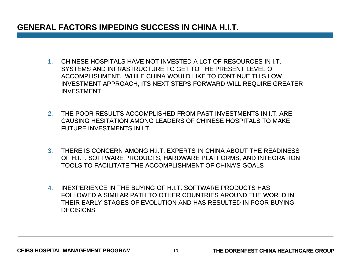### **GENERAL FACTORS IMPEDING SUCCESS IN CHINA H.I.T.**

- 1. CHINESE HOSPITALS HAVE NOT INVESTED A LOT OF RESOURCES IN I.T. SYSTEMS AND INFRASTRUCTURE TO GET TO THE PRESENT LEVEL OF ACCOMPLISHMENT. WHILE CHINA WOULD LIKE TO CONTINUE THIS LOW INVESTMENT APPROACH, ITS NEXT STEPS FORWARD WILL REQUIRE GREATER INVESTMENT
- 2. THE POOR RESULTS ACCOMPLISHED FROM PAST INVESTMENTS IN I.T. ARE CAUSING HESITATION AMONG LEADERS OF CHINESE HOSPITALS TO MAKE FUTURE INVESTMENTS IN I.T.
- 3. THERE IS CONCERN AMONG H.I.T. EXPERTS IN CHINA ABOUT THE READINESS OF H.I.T. SOFTWARE PRODUCTS, HARDWARE PLATFORMS, AND INTEGRATION TOOLS TO FACILITATE THE ACCOMPLISHMENT OF CHINA'S GOALS
- 4. INEXPERIENCE IN THE BUYING OF H.I.T. SOFTWARE PRODUCTS HAS FOLLOWED A SIMILAR PATH TO OTHER COUNTRIES AROUND THE WORLD IN THEIR EARLY STAGES OF EVOLUTION AND HAS RESULTED IN POOR BUYINGDECISIONS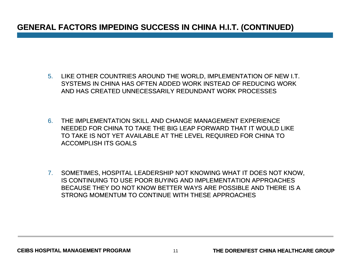### **GENERAL FACTORS IMPEDING SUCCESS IN CHINA H.I.T. (CONTINUED)**

- 5. LIKE OTHER COUNTRIES AROUND THE WORLD, IMPLEMENTATION OF NEW I.T. SYSTEMS IN CHINA HAS OFTEN ADDED WORK INSTEAD OF REDUCING WORK AND HAS CREATED UNNECESSARILY REDUNDANT WORK PROCESSES
- 6. THE IMPLEMENTATION SKILL AND CHANGE MANAGEMENT EXPERIENCE NEEDED FOR CHINA TO TAKE THE BIG LEAP FORWARD THAT IT WOULD LIKE TO TAKE IS NOT YET AVAILABLE AT THE LEVEL REQUIRED FOR CHINA TO ACCOMPLISH ITS GOALS
- 7. SOMETIMES, HOSPITAL LEADERSHIP NOT KNOWING WHAT IT DOES NOT KNOW, IS CONTINUING TO USE POOR BUYING AND IMPLEMENTATION APPROACHES BECAUSE THEY DO NOT KNOW BETTER WAYS ARE POSSIBLE AND THERE IS A STRONG MOMENTUM TO CONTINUE WITH THESE APPROACHES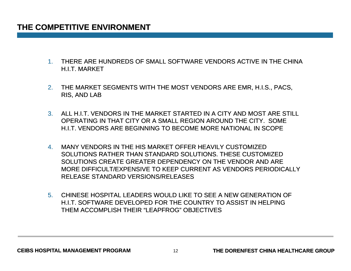#### **THE COMPETITIVE ENVIRONMENT**

- 1. THERE ARE HUNDREDS OF SMALL SOFTWARE VENDORS ACTIVE IN THE CHINA H.I.T. MARKET
- 2. THE MARKET SEGMENTS WITH THE MOST VENDORS ARE EMR, H.I.S., PACS, RIS, AND LAB
- 3. ALL H.I.T. VENDORS IN THE MARKET STARTED IN A CITY AND MOST ARE STILL OPERATING IN THAT CITY OR A SMALL REGION AROUND THE CITY. SOME H.I.T. VENDORS ARE BEGINNING TO BECOME MORE NATIONAL IN SCOPE
- 4. MANY VENDORS IN THE HIS MARKET OFFER HEAVILY CUSTOMIZED SOLUTIONS RATHER THAN STANDARD SOLUTIONS. THESE CUSTOMIZED SOLUTIONS CREATE GREATER DEPENDENCY ON THE VENDOR AND ARE MORE DIFFICULT/EXPENSIVE TO KEEP CURRENT AS VENDORS PERIODICALLY CURRENT RELEASE STANDARD VERSIONS/RELEASES
- 5. CHINESE HOSPITAL LEADERS WOULD LIKE TO SEE A NEW GENERATION OF H.I.T. SOFTWARE DEVELOPED FOR THE COUNTRY TO ASSIST IN HELPING THEM ACCOMPLISH THEIR "LEAPFROG" OBJECTIVES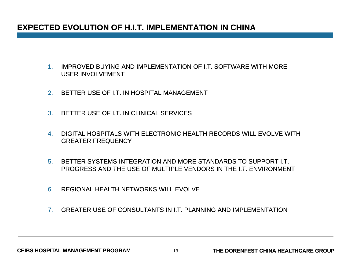### **EXPECTED EVOLUTION OF H.I.T. IMPLEMENTATION IN CHINA**

- 1. IMPROVED BUYING AND IMPLEMENTATION OF I.T. SOFTWARE WITH MORE USER INVOLVEMENT
- 2.BETTER USE OF I.T. IN HOSPITAL MANAGEMENT
- 3. BETTER USE OF I.T. IN CLINICAL SERVICES
- 4. DIGITAL HOSPITALS WITH ELECTRONIC HEALTH RECORDS WILL EVOLVE WITH EVOLVE WITH GREATER FREQUENCY
- 5. BETTER SYSTEMS INTEGRATION AND MORE STANDARDS TO SUPPORT I.T. PROGRESS AND THE USE OF MULTIPLE VENDORS IN THE I.T. ENVIRONMENT
- 6.REGIONAL HEALTH NETWORKS WILL EVOLVE
- 7.GREATER USE OF CONSULTANTS IN I.T. PLANNING AND IMPLEMENTATION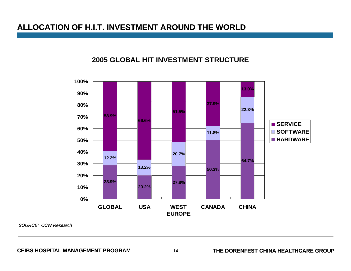#### **ALLOCATION OF H.I.T. INVESTMENT AROUND THE WORLD**

#### **2005 GLOBAL HIT INVESTMENT STRUCTURE**



*SOURCE: CCW Research*

**CEIBS HOSPITAL MANAGEMENT PROGRAM**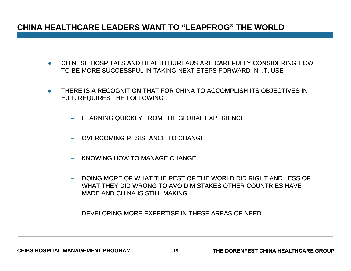### **CHINA HEALTHCARE LEADERS WANT TO "LEAPFROG" THE WORLD**

- CHINESE HOSPITALS AND HEALTH BUREAUS ARE CAREFULLY CONSIDERING HOW TO BE MORE SUCCESSFUL IN TAKING NEXT STEPS FORWARD IN I.T. USE
- THERE IS A RECOGNITION THAT FOR CHINA TO ACCOMPLISH ITS OBJECTIVES IN H.I.T. REQUIRES THE FOLLOWING :
	- LEARNING QUICKLY FROM THE GLOBAL EXPERIENCE
	- OVERCOMING RESISTANCE TO CHANGE
	- KNOWING HOW TO MANAGE CHANGE
	- DOING MORE OF WHAT THE REST OF THE WORLD DID RIGHT AND LESS OF WHAT THEY DID WRONG TO AVOID MISTAKES OTHER COUNTRIES HAVE MADE AND CHINA IS STILL MAKING
	- DEVELOPING MORE EXPERTISE IN THESE AREAS OF NEED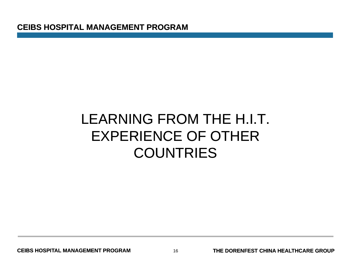### LEARNING FROM THE H.I.T. EXPERIENCE OF OTHER **COUNTRIES**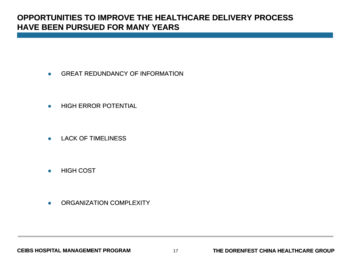### **OPPORTUNITIES TO IMPROVE THE HEALTHCARE DELIVERY PROCESS HAVE BEEN PURSUED FOR MANY YEARS**

- $\bullet$ GREAT REDUNDANCY OF INFORMATION
- $\bullet$ HIGH ERROR POTENTIAL
- $\bullet$ LACK OF TIMELINESS
- $\bullet$ HIGH COST
- $\bullet$ ORGANIZATION COMPLEXITY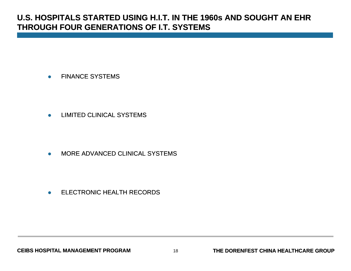### **U.S. HOSPITALS STARTED USING H.I.T. IN THE 1960s AND SOUGHT AN EHR THROUGH FOUR GENERATIONS OF I.T. SYSTEMS**

 $\bullet$ FINANCE SYSTEMS

 $\bullet$ LIMITED CLINICAL SYSTEMS

 $\bullet$ MORE ADVANCED CLINICAL SYSTEMS

 $\bullet$ ELECTRONIC HEALTH RECORDS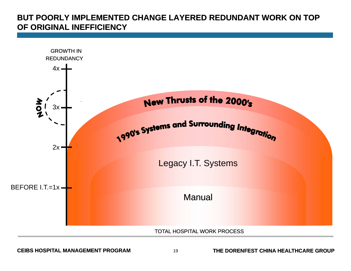### **BUT POORLY IMPLEMENTED CHANGE LAYERED REDUNDANT WORK ON TOP OF ORIGINAL INEFFICIENCY**

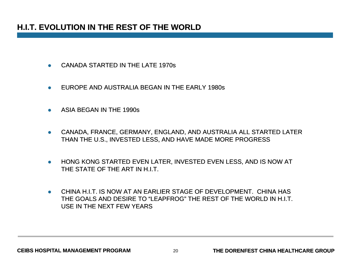### **H.I.T. EVOLUTION IN THE REST OF THE WORLD**

- $\bullet$ CANADA STARTED IN THE LATE 1970s
- $\bullet$ EUROPE AND AUSTRALIA BEGAN IN THE EARLY 1980s
- $\bullet$ ASIA BEGAN IN THE 1990s
- $\bullet$  CANADA, FRANCE, GERMANY, ENGLAND, AND AUSTRALIA ALL STARTED LATER THAN THE U.S., INVESTED LESS, AND HAVE MADE MORE PROGRESS
- $\bullet$  HONG KONG STARTED EVEN LATER, INVESTED EVEN LESS, AND IS NOW AT THE STATE OF THE ART IN H.I.T.
- CHINA H.I.T. IS NOW AT AN EARLIER STAGE OF DEVELOPMENT. CHINA HAS THE GOALS AND DESIRE TO "LEAPFROG" THE REST OF THE WORLD IN H.I.T. USE IN THE NEXT FEW YEARS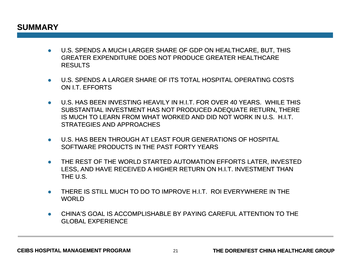#### **SUMMARY**

- U.S. SPENDS A MUCH LARGER SHARE OF GDP ON HEALTHCARE, BUT, THIS GREATER EXPENDITURE DOES NOT PRODUCE GREATER HEALTHCARE RESULTS
- U.S. SPENDS A LARGER SHARE OF ITS TOTAL HOSPITAL OPERATING COSTS ON I.T. EFFORTS
- $\bullet$   $\;$  U.S. HAS BEEN INVESTING HEAVILY IN H.I.T. FOR OVER 40 YEARS. WHILE THIS SUBSTANTIAL INVESTMENT HAS NOT PRODUCED ADEQUATE RETURN, THERE IS MUCH TO LEARN FROM WHAT WORKED AND DID NOT WORK IN U.S. H.I.T. STRATEGIES AND APPROACHES
- U.S. HAS BEEN THROUGH AT LEAST FOUR GENERATIONS OF HOSPITAL SOFTWARE PRODUCTS IN THE PAST FORTY YEARS
- $\bullet$  THE REST OF THE WORLD STARTED AUTOMATION EFFORTS LATER, INVESTED LESS, AND HAVE RECEIVED A HIGHER RETURN ON H.I.T. INVESTMENT THAN THE U.S.
- THERE IS STILL MUCH TO DO TO IMPROVE H.I.T. ROI EVERYWHERE IN THE **WORLD**
- $\bullet$  CHINA'S GOAL IS ACCOMPLISHABLE BY PAYING CAREFUL ATTENTION TO THE GLOBAL EXPERIENCE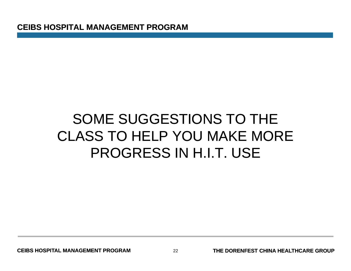### SOME SUGGESTIONS TO THE CLASS TO HELP YOU MAKE MOREPROGRESS IN H.I.T. USE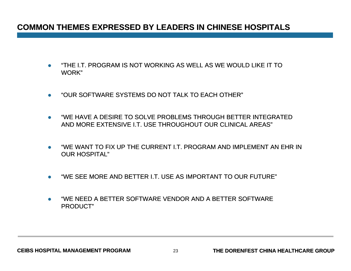### **COMMON THEMES EXPRESSED BY LEADERS IN CHINESE HOSPITALS**

- $\bullet$  "THE I.T. PROGRAM IS NOT WORKING AS WELL AS WE WOULD LIKE IT TO WORK"
- $\bullet$ "OUR SOFTWARE SYSTEMS DO NOT TALK TO EACH OTHER"
- $\bullet$  "WE HAVE A DESIRE TO SOLVE PROBLEMS THROUGH BETTER INTEGRATED AND MORE EXTENSIVE I.T. USE THROUGHOUT OUR CLINICAL AREAS"
- $\bullet$ "WE WANT TO FIX UP THE CURRENT LT. PROGRAM AND IMPLEMENT AN EHR IN OUR HOSPITAL"
- $\bullet$ "WE SEE MORE AND BETTER I.T. USE AS IMPORTANT TO OUR FUTURE"
- $\bullet$  "WE NEED A BETTER SOFTWARE VENDOR AND A BETTER SOFTWARE PRODUCT"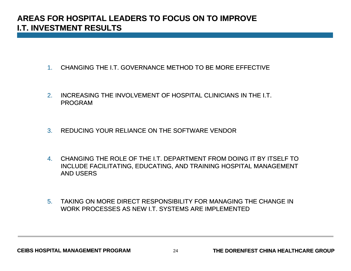### **AREAS FOR HOSPITAL LEADERS TO FOCUS ON TO IMPROVE I.T. INVESTMENT RESULTS**

- 1. CHANGING THE I.T. GOVERNANCE METHOD TO BE MORE EFFECTIVE
- 2. INCREASING THE INVOLVEMENT OF HOSPITAL CLINICIANS IN THE I.T. PROGRAM
- 3.REDUCING YOUR RELIANCE ON THE SOFTWARE VENDOR
- 4. CHANGING THE ROLE OF THE I.T. DEPARTMENT FROM DOING IT BY ITSELF TO INCLUDE FACILITATING, EDUCATING, AND TRAINING HOSPITAL MANAGEMENT AND USERS
- 5. TAKING ON MORE DIRECT RESPONSIBILITY FOR MANAGING THE CHANGE IN WORK PROCESSES AS NEW I.T. SYSTEMS ARE IMPLEMENTED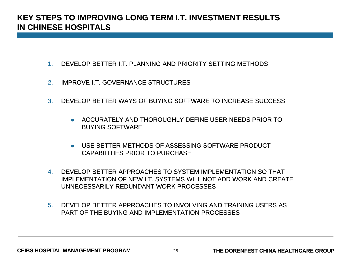### **KEY STEPS TO IMPROVING LONG TERM I.T. INVESTMENT RESULTS IN CHINESE HOSPITALS**

- 1.DEVELOP BETTER I.T. PLANNING AND PRIORITY SETTING METHODS
- 2.IMPROVE I.T. GOVERNANCE STRUCTURES
- 3.. DEVELOP BETTER WAYS OF BUYING SOFTWARE TO INCREASE SUCCESS
	- **ACCURATELY AND THOROUGHLY DEFINE USER NEEDS PRIOR TO** BUYING SOFTWARE
	- USE BETTER METHODS OF ASSESSING SOFTWARE PRODUCT CAPABILITIES PRIOR TO PURCHASE
- 4. DEVELOP BETTER APPROACHES TO SYSTEM IMPLEMENTATION SO THAT IMPLEMENTATION OF NEW I.T. SYSTEMS WILL NOT ADD WORK AND CREATE UNNECESSARILY REDUNDANT WORK PROCESSES
- 5. DEVELOP BETTER APPROACHES TO INVOLVING AND TRAINING USERS ASPART OF THE BUYING AND IMPLEMENTATION PROCESSES